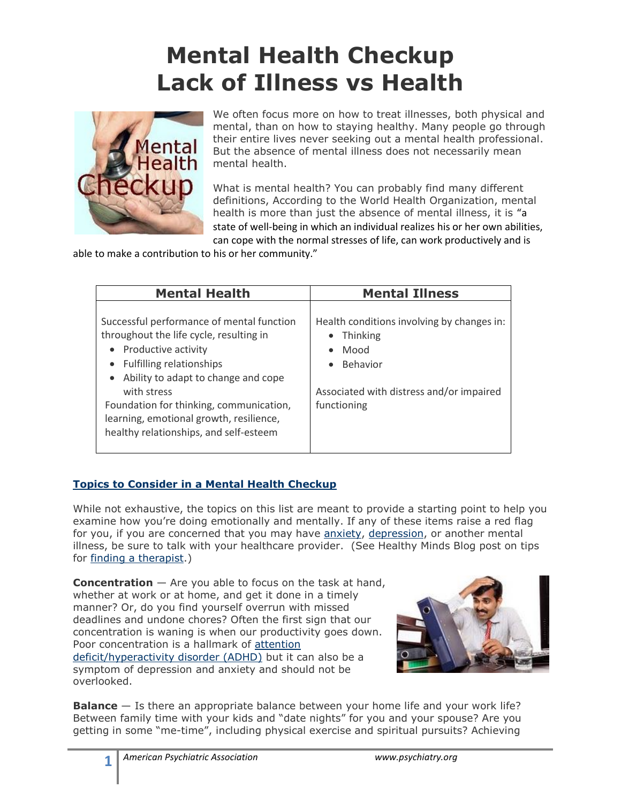## **Mental Health Checkup Lack of Illness vs Health**



We often focus more on how to treat illnesses, both physical and mental, than on how to staying healthy. Many people go through their entire lives never seeking out a mental health professional. But the absence of mental illness does not necessarily mean mental health.

What is mental health? You can probably find many different definitions, According to the World Health Organization, mental health is more than just the absence of mental illness, it is "a state of well-being in which an individual realizes his or her own abilities, can cope with the normal stresses of life, can work productively and is

able to make a contribution to his or her community."

| <b>Mental Health</b><br>Successful performance of mental function<br>throughout the life cycle, resulting in<br>Productive activity                                                                                         | <b>Mental Illness</b><br>Health conditions involving by changes in:<br>Thinking<br>Mood |
|-----------------------------------------------------------------------------------------------------------------------------------------------------------------------------------------------------------------------------|-----------------------------------------------------------------------------------------|
| Fulfilling relationships<br>Ability to adapt to change and cope<br>$\bullet$<br>with stress<br>Foundation for thinking, communication,<br>learning, emotional growth, resilience,<br>healthy relationships, and self-esteem | <b>Behavior</b><br>Associated with distress and/or impaired<br>functioning              |

## **[Topics to Consider in a Mental Health Checkup](http://apahealthyminds.blogspot.com/2010/09/nine-topics-to-consider-in-mental.html)**

While not exhaustive, the topics on this list are meant to provide a starting point to help you examine how you're doing emotionally and mentally. If any of these items raise a red flag for you, if you are concerned that you may have [anxiety,](http://www.healthyminds.org/Document-Library/Brochure-Library/Anxiety.aspx) [depression,](http://www.healthyminds.org/Document-Library/Brochure-Library/Lets-Talk-Facts-Depression.aspx) or another mental illness, be sure to talk with your healthcare provider. (See Healthy Minds Blog post on tips for [finding a therapist.](http://apahealthyminds.blogspot.com/2010/04/what-is-psychotherapy.html))

**Concentration** — Are you able to focus on the task at hand, whether at work or at home, and get it done in a timely manner? Or, do you find yourself overrun with missed deadlines and undone chores? Often the first sign that our concentration is waning is when our productivity goes down. Poor concentration is a hallmark of [attention](http://www.healthyminds.org/Document-Library/Brochure-Library/Lets-Talk-Facts-Attention-DeficitHyperactivity-Disorder-ADHD.aspx)  [deficit/hyperactivity disorder \(ADHD\)](http://www.healthyminds.org/Document-Library/Brochure-Library/Lets-Talk-Facts-Attention-DeficitHyperactivity-Disorder-ADHD.aspx) but it can also be a symptom of depression and anxiety and should not be overlooked.



**Balance** — Is there an appropriate balance between your home life and your work life? Between family time with your kids and "date nights" for you and your spouse? Are you getting in some "me-time", including physical exercise and spiritual pursuits? Achieving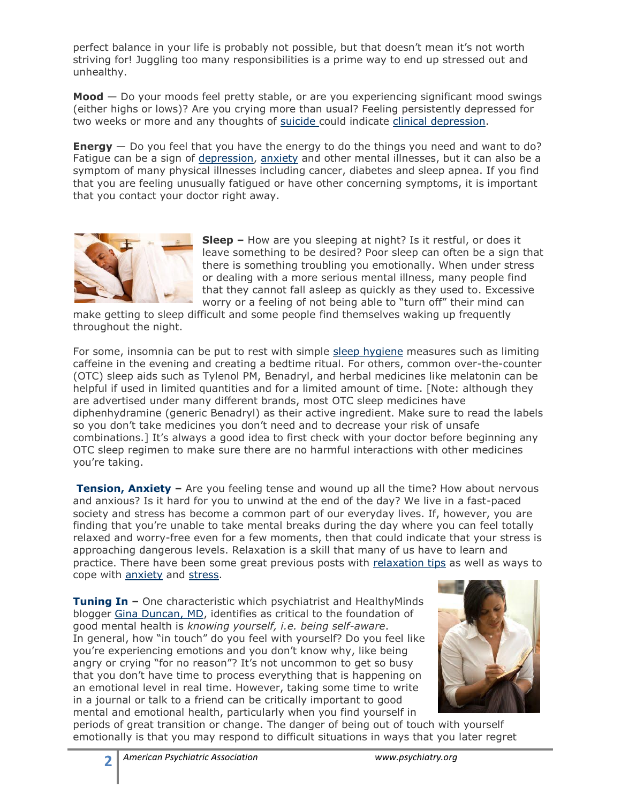perfect balance in your life is probably not possible, but that doesn't mean it's not worth striving for! Juggling too many responsibilities is a prime way to end up stressed out and unhealthy.

**Mood** — Do your moods feel pretty stable, or are you experiencing significant mood swings (either highs or lows)? Are you crying more than usual? Feeling persistently depressed for two weeks or more and any thoughts of [suicide c](http://apahealthyminds.blogspot.com/search/label/suicide%20prevention)ould indicate [clinical depression.](http://www.healthyminds.org/Document-Library/Brochure-Library/Lets-Talk-Facts-Depression.aspx)

**Energy** — Do you feel that you have the energy to do the things you need and want to do? Fatigue can be a sign of [depression,](http://www.healthyminds.org/Document-Library/Brochure-Library/Lets-Talk-Facts-Depression.aspx) [anxiety](http://www.healthyminds.org/Document-Library/Brochure-Library/Anxiety.aspx) and other mental illnesses, but it can also be a symptom of many physical illnesses including cancer, diabetes and sleep apnea. If you find that you are feeling unusually fatigued or have other concerning symptoms, it is important that you contact your doctor right away.



**Sleep –** How are you sleeping at night? Is it restful, or does it leave something to be desired? Poor sleep can often be a sign that there is something troubling you emotionally. When under stress or dealing with a more serious mental illness, many people find that they cannot fall asleep as quickly as they used to. Excessive worry or a feeling of not being able to "turn off" their mind can

make getting to sleep difficult and some people find themselves waking up frequently throughout the night.

For some, insomnia can be put to rest with simple [sleep hygiene](http://www.sleepfoundation.org/article/ask-the-expert/sleep-hygiene) measures such as limiting caffeine in the evening and creating a bedtime ritual. For others, common over-the-counter (OTC) sleep aids such as Tylenol PM, Benadryl, and herbal medicines like melatonin can be helpful if used in limited quantities and for a limited amount of time. [Note: although they are advertised under many different brands, most OTC sleep medicines have diphenhydramine (generic Benadryl) as their active ingredient. Make sure to read the labels so you don't take medicines you don't need and to decrease your risk of unsafe combinations.] It's always a good idea to first check with your doctor before beginning any OTC sleep regimen to make sure there are no harmful interactions with other medicines you're taking.

**[Tension, Anxiety](http://apahealthyminds.blogspot.com/2010/09/by-gina-duncan-m.html) –** Are you feeling tense and wound up all the time? How about nervous and anxious? Is it hard for you to unwind at the end of the day? We live in a fast-paced society and stress has become a common part of our everyday lives. If, however, you are finding that you're unable to take mental breaks during the day where you can feel totally relaxed and worry-free even for a few moments, then that could indicate that your stress is approaching dangerous levels. Relaxation is a skill that many of us have to learn and practice. There have been some great previous posts with [relaxation tips](http://apahealthyminds.blogspot.com/2010/01/relax-feel-stress-melt-away.html) as well as ways to cope with [anxiety](http://apahealthyminds.blogspot.com/search/label/anxiety) and [stress.](http://apahealthyminds.blogspot.com/search/label/stress)

**[Tuning In](http://apahealthyminds.blogspot.com/2010/09/by-gina-duncan-m.html) –** One characteristic which psychiatrist and HealthyMinds blogger [Gina Duncan, MD,](http://www.healthyminds.org/More-Info-For/Healthy-Minds-Blog-Contributors.aspx) identifies as critical to the foundation of good mental health is *knowing yourself, i.e. being self-aware*. In general, how "in touch" do you feel with yourself? Do you feel like you're experiencing emotions and you don't know why, like being angry or crying "for no reason"? It's not uncommon to get so busy that you don't have time to process everything that is happening on an emotional level in real time. However, taking some time to write in a journal or talk to a friend can be critically important to good mental and emotional health, particularly when you find yourself in



periods of great transition or change. The danger of being out of touch with yourself emotionally is that you may respond to difficult situations in ways that you later regret